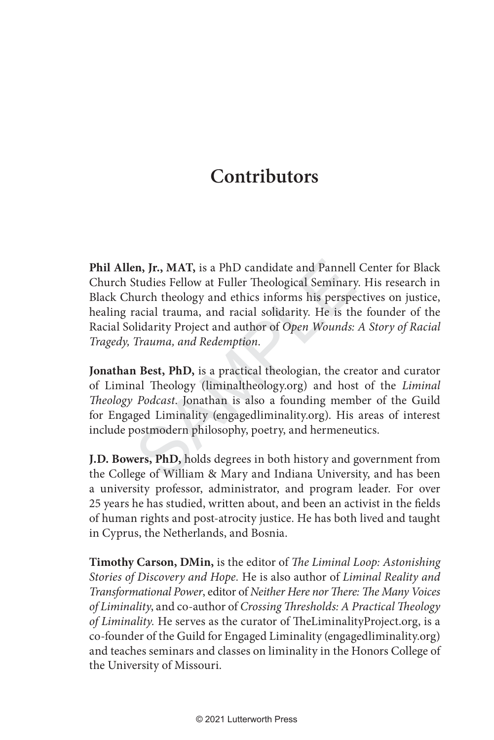## **Contributors**

**Example 15: ATAT, is a PhD candidate and Pannell**<br>Studies Fellow at Fuller Theological Seminary<br>nurch theology and ethics informs his perspe<br>racial trauma, and racial solidarity. He is th<br>blidarity Project and author of O **Phil Allen, Jr., MAT,** is a PhD candidate and Pannell Center for Black Church Studies Fellow at Fuller Theological Seminary. His research in Black Church theology and ethics informs his perspectives on justice, healing racial trauma, and racial solidarity. He is the founder of the Racial Solidarity Project and author of *Open Wounds: A Story of Racial Tragedy, Trauma, and Redemption* .

**Jonathan Best, PhD,** is a practical theologian, the creator and curator of Liminal Theology (liminaltheology.org) and host of the *Liminal Theology Podcast*. Jonathan is also a founding member of the Guild for Engaged Liminality (engagedliminality.org). His areas of interest include postmodern philosophy, poetry, and hermeneutics.

**J.D. Bowers, PhD,** holds degrees in both history and government from the College of William & Mary and Indiana University, and has been a university professor, administrator, and program leader. For over 25 years he has studied, written about, and been an activist in the fields of human rights and post-atrocity justice. He has both lived and taught in Cyprus, the Netherlands, and Bosnia.

Timothy Carson, DMin, is the editor of The Liminal Loop: Astonishing *Stories of Discovery and Hope.* He is also author of *Liminal Reality and Transformational Power, editor of Neither Here nor There: The Many Voices of Liminality*, and co-author of *Crossing Th resholds: A Practical Th eology of Liminality*. He serves as the curator of TheLiminalityProject.org, is a co-founder of the Guild for Engaged Liminality (engagedliminality.org) and teaches seminars and classes on liminality in the Honors College of the University of Missouri.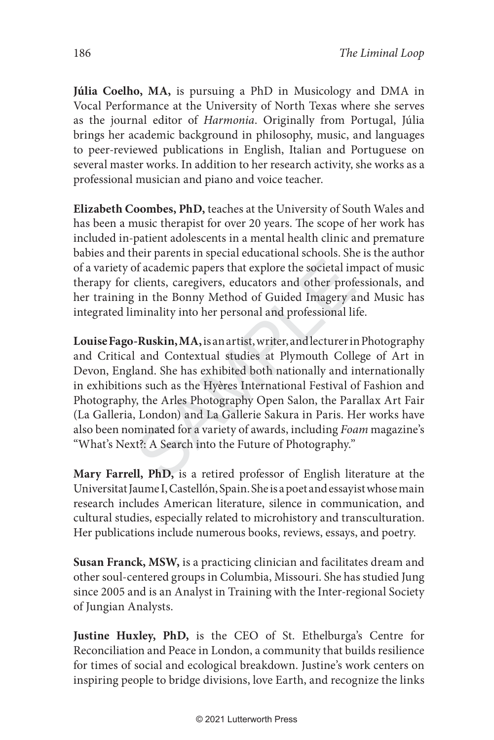**Júlia Coelho, MA,** is pursuing a PhD in Musicology and DMA in Vocal Performance at the University of North Texas where she serves as the journal editor of *Harmonia*. Originally from Portugal, Júlia brings her academic background in philosophy, music, and languages to peer-reviewed publications in English, Italian and Portuguese on several master works. In addition to her research activity, she works as a professional musician and piano and voice teacher.

**Elizabeth Coombes, PhD,** teaches at the University of South Wales and has been a music therapist for over 20 years. The scope of her work has included in-patient adolescents in a mental health clinic and premature babies and their parents in special educational schools. She is the author of a variety of academic papers that explore the societal impact of music therapy for clients, caregivers, educators and other professionals, and her training in the Bonny Method of Guided Imagery and Music has integrated liminality into her personal and professional life.

of academic papers that explore the societal in<br>clients, caregivers, educators and other profe<br>is in the Bonny Method of Guided Imagery a<br>minality into her personal and professional li<br>-**Ruskin, MA**, is an artist, writer, **Louise Fago-Ruskin, MA,** is an artist, writer, and lecturer in Photography and Critical and Contextual studies at Plymouth College of Art in Devon, England. She has exhibited both nationally and internationally in exhibitions such as the Hyères International Festival of Fashion and Photography, the Arles Photography Open Salon, the Parallax Art Fair (La Galleria, London) and La Gallerie Sakura in Paris. Her works have also been nominated for a variety of awards, including *Foam* magazine's "What's Next?: A Search into the Future of Photography."

**Mary Farrell, PhD,** is a retired professor of English literature at the Universitat Jaume I, Castellón, Spain. She is a poet and essayist whose main research includes American literature, silence in communication, and cultural studies, especially related to microhistory and transculturation. Her publications include numerous books, reviews, essays, and poetry.

**Susan Franck, MSW,** is a practicing clinician and facilitates dream and other soul-centered groups in Columbia, Missouri. She has studied Jung since 2005 and is an Analyst in Training with the Inter-regional Society of Jungian Analysts.

**Justine Huxley, PhD,** is the CEO of St. Ethelburga's Centre for Reconciliation and Peace in London, a community that builds resilience for times of social and ecological breakdown. Justine's work centers on inspiring people to bridge divisions, love Earth, and recognize the links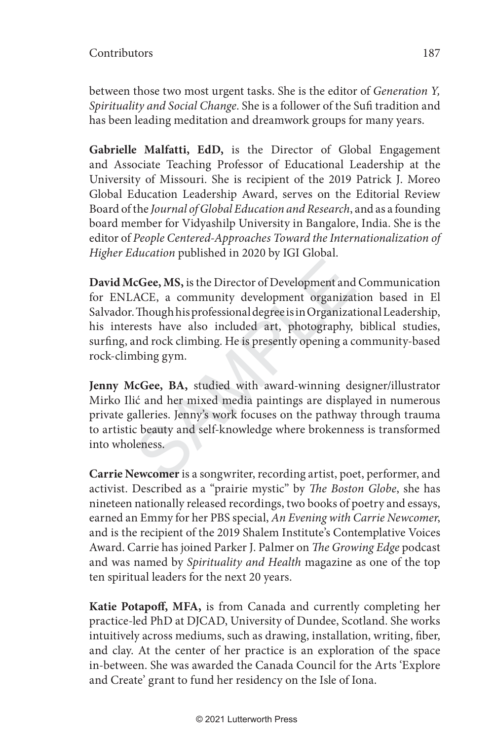between those two most urgent tasks. She is the editor of *Generation Y, Spirituality and Social Change*. She is a follower of the Sufi tradition and has been leading meditation and dreamwork groups for many years.

**Gabrielle Malfatti, EdD,** is the Director of Global Engagement and Associate Teaching Professor of Educational Leadership at the University of Missouri. She is recipient of the 2019 Patrick J. Moreo Global Education Leadership Award, serves on the Editorial Review Board of the *Journal of Global Education and Research*, and as a founding board member for Vidyashilp University in Bangalore, India. She is the editor of *People Centered-Approaches Toward the Internationalization of Higher Education* published in 2020 by IGI Global.

cGee, MS, is the Director of Development and<br>ACE, a community development organizat<br>Though his professional degree is in Organizat<br>rests have also included art, photography,<br>and rock climbing. He is presently opening a co<br> **David McGee, MS,** is the Director of Development and Communication for ENLACE, a community development organization based in El Salvador. Though his professional degree is in Organizational Leadership, his interests have also included art, photography, biblical studies, surfing, and rock climbing. He is presently opening a community-based rock-climbing gym.

**Jenny McGee, BA,** studied with award-winning designer/illustrator Mirko Ilić and her mixed media paintings are displayed in numerous private galleries. Jenny's work focuses on the pathway through trauma to artistic beauty and self-knowledge where brokenness is transformed into wholeness.

**Carrie Newcomer** is a songwriter, recording artist, poet, performer, and activist. Described as a "prairie mystic" by *The Boston Globe*, she has nineteen nationally released recordings, two books of poetry and essays, earned an Emmy for her PBS special, *An Evening with Carrie Newcomer*, and is the recipient of the 2019 Shalem Institute's Contemplative Voices Award. Carrie has joined Parker J. Palmer on *Th e Growing Edge* podcast and was named by *Spirituality and Health* magazine as one of the top ten spiritual leaders for the next 20 years.

Katie Potapoff, MFA, is from Canada and currently completing her practice-led PhD at DJCAD, University of Dundee, Scotland. She works intuitively across mediums, such as drawing, installation, writing, fiber, and clay. At the center of her practice is an exploration of the space in-between. She was awarded the Canada Council for the Arts 'Explore and Create' grant to fund her residency on the Isle of Iona.